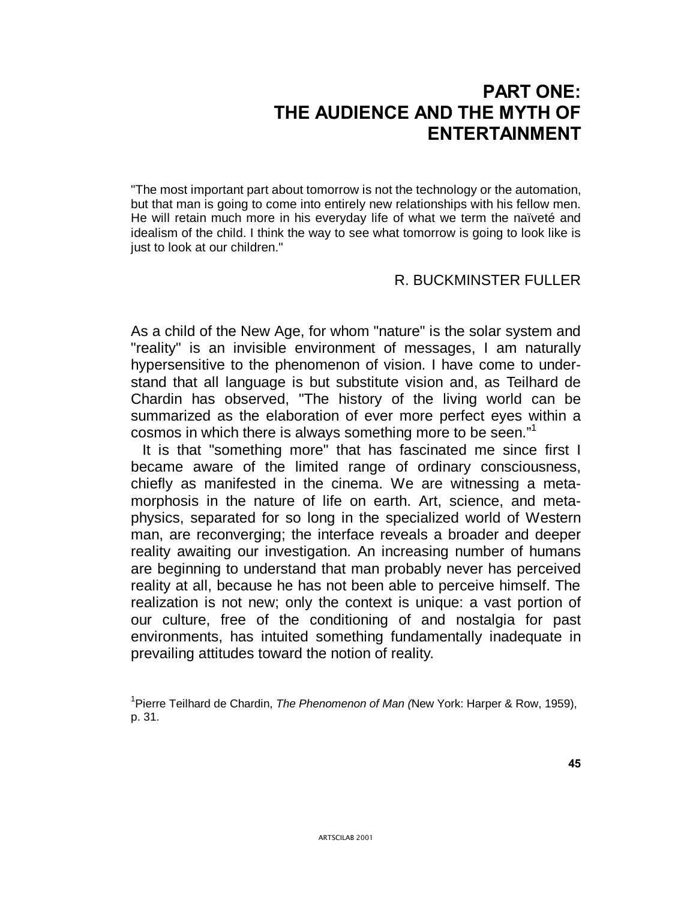# **PART ONE: THE AUDIENCE AND THE MYTH OF ENTERTAINMENT**

"The most important part about tomorrow is not the technology or the automation, but that man is going to come into entirely new relationships with his fellow men. He will retain much more in his everyday life of what we term the naïveté and idealism of the child. I think the way to see what tomorrow is going to look like is just to look at our children."

### R. BUCKMINSTER FULLER

As a child of the New Age, for whom "nature" is the solar system and "reality" is an invisible environment of messages, I am naturally hypersensitive to the phenomenon of vision. I have come to understand that all language is but substitute vision and, as Teilhard de Chardin has observed, "The history of the living world can be summarized as the elaboration of ever more perfect eyes within a cosmos in which there is always something more to be seen." 1

It is that "something more" that has fascinated me since first I became aware of the limited range of ordinary consciousness, chiefly as manifested in the cinema. We are witnessing a metamorphosis in the nature of life on earth. Art, science, and metaphysics, separated for so long in the specialized world of Western man, are reconverging; the interface reveals a broader and deeper reality awaiting our investigation. An increasing number of humans are beginning to understand that man probably never has perceived reality at all, because he has not been able to perceive himself. The realization is not new; only the context is unique: a vast portion of our culture, free of the conditioning of and nostalgia for past environments, has intuited something fundamentally inadequate in prevailing attitudes toward the notion of reality.

<sup>1</sup> Pierre Teilhard de Chardin, *The Phenomenon of Man (*New York: Harper & Row, 1959), p. 31.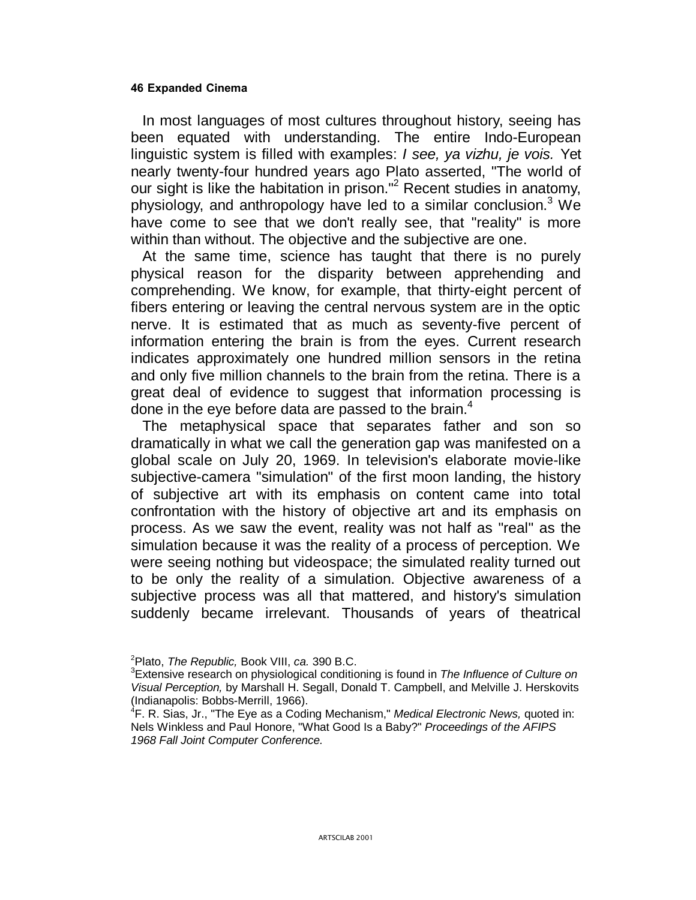In most languages of most cultures throughout history, seeing has been equated with understanding. The entire Indo-European linguistic system is filled with examples: *I see, ya vizhu, je vois.* Yet nearly twenty-four hundred years ago Plato asserted, "The world of our sight is like the habitation in prison."<sup>2</sup> Recent studies in anatomy, physiology, and anthropology have led to a similar conclusion.<sup>3</sup> We have come to see that we don't really see, that "reality" is more within than without. The objective and the subjective are one.

At the same time, science has taught that there is no purely physical reason for the disparity between apprehending and comprehending. We know, for example, that thirty-eight percent of fibers entering or leaving the central nervous system are in the optic nerve. It is estimated that as much as seventy-five percent of information entering the brain is from the eyes. Current research indicates approximately one hundred million sensors in the retina and only five million channels to the brain from the retina. There is a great deal of evidence to suggest that information processing is done in the eye before data are passed to the brain.<sup>4</sup>

The metaphysical space that separates father and son so dramatically in what we call the generation gap was manifested on a global scale on July 20, 1969. In television's elaborate movie-like subjective-camera "simulation" of the first moon landing, the history of subjective art with its emphasis on content came into total confrontation with the history of objective art and its emphasis on process. As we saw the event, reality was not half as "real" as the simulation because it was the reality of a process of perception. We were seeing nothing but videospace; the simulated reality turned out to be only the reality of a simulation. Objective awareness of a subjective process was all that mattered, and history's simulation suddenly became irrelevant. Thousands of years of theatrical

<sup>2</sup>Plato, *The Republic,* Book VIII, *ca.* 390 B.C.

<sup>3</sup> Extensive research on physiological conditioning is found in *The Influence of Culture on Visual Perception,* by Marshall H. Segall, Donald T. Campbell, and Melville J. Herskovits (Indianapolis: Bobbs-Merrill, 1966).

<sup>4</sup>F. R. Sias, Jr., "The Eye as a Coding Mechanism," *Medical Electronic News,* quoted in: Nels Winkless and Paul Honore, "What Good Is a Baby?" *Proceedings of the AFIPS 1968 Fall Joint Computer Conference.*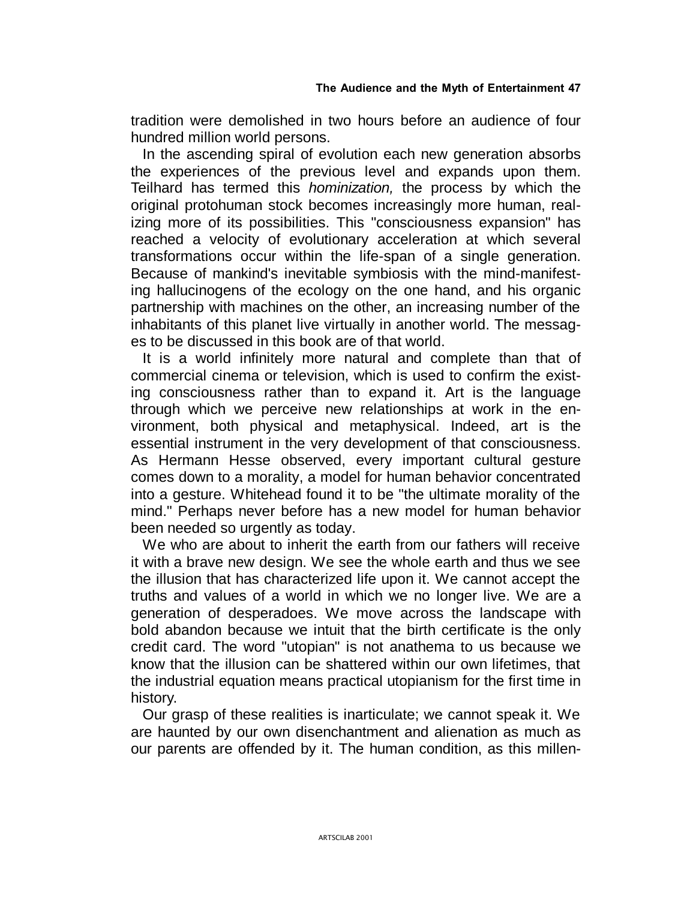tradition were demolished in two hours before an audience of four hundred million world persons.

In the ascending spiral of evolution each new generation absorbs the experiences of the previous level and expands upon them. Teilhard has termed this *hominization,* the process by which the original protohuman stock becomes increasingly more human, realizing more of its possibilities. This "consciousness expansion" has reached a velocity of evolutionary acceleration at which several transformations occur within the life-span of a single generation. Because of mankind's inevitable symbiosis with the mind-manifesting hallucinogens of the ecology on the one hand, and his organic partnership with machines on the other, an increasing number of the inhabitants of this planet live virtually in another world. The messages to be discussed in this book are of that world.

It is a world infinitely more natural and complete than that of commercial cinema or television, which is used to confirm the existing consciousness rather than to expand it. Art is the language through which we perceive new relationships at work in the environment, both physical and metaphysical. Indeed, art is the essential instrument in the very development of that consciousness. As Hermann Hesse observed, every important cultural gesture comes down to a morality, a model for human behavior concentrated into a gesture. Whitehead found it to be "the ultimate morality of the mind." Perhaps never before has a new model for human behavior been needed so urgently as today.

We who are about to inherit the earth from our fathers will receive it with a brave new design. We see the whole earth and thus we see the illusion that has characterized life upon it. We cannot accept the truths and values of a world in which we no longer live. We are a generation of desperadoes. We move across the landscape with bold abandon because we intuit that the birth certificate is the only credit card. The word "utopian" is not anathema to us because we know that the illusion can be shattered within our own lifetimes, that the industrial equation means practical utopianism for the first time in history.

Our grasp of these realities is inarticulate; we cannot speak it. We are haunted by our own disenchantment and alienation as much as our parents are offended by it. The human condition, as this millen-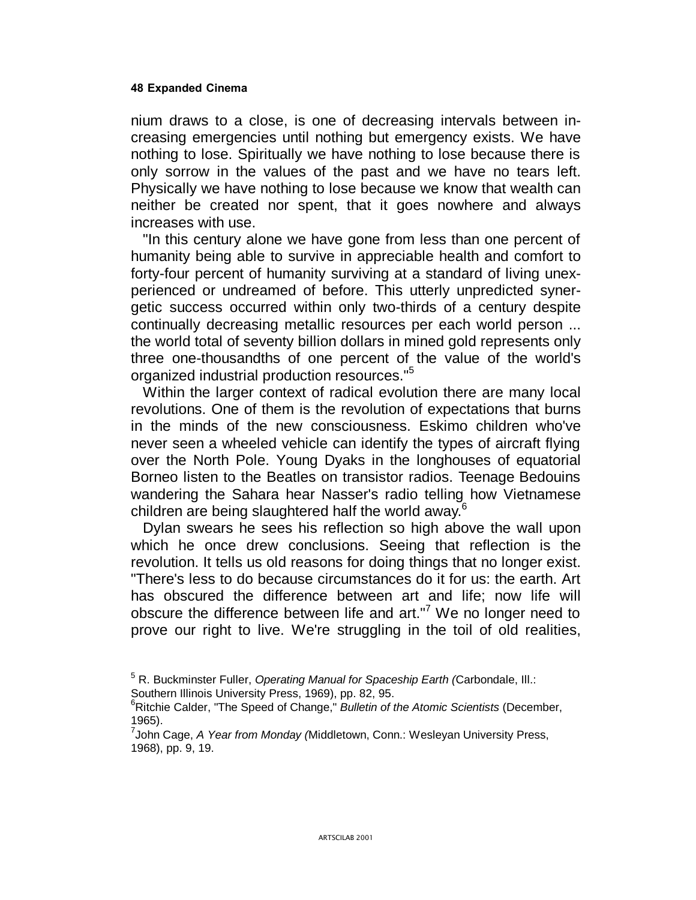nium draws to a close, is one of decreasing intervals between increasing emergencies until nothing but emergency exists. We have nothing to lose. Spiritually we have nothing to lose because there is only sorrow in the values of the past and we have no tears left. Physically we have nothing to lose because we know that wealth can neither be created nor spent, that it goes nowhere and always increases with use.

"In this century alone we have gone from less than one percent of humanity being able to survive in appreciable health and comfort to forty-four percent of humanity surviving at a standard of living unexperienced or undreamed of before. This utterly unpredicted synergetic success occurred within only two-thirds of a century despite continually decreasing metallic resources per each world person ... the world total of seventy billion dollars in mined gold represents only three one-thousandths of one percent of the value of the world's organized industrial production resources."<sup>5</sup>

Within the larger context of radical evolution there are many local revolutions. One of them is the revolution of expectations that burns in the minds of the new consciousness. Eskimo children who've never seen a wheeled vehicle can identify the types of aircraft flying over the North Pole. Young Dyaks in the longhouses of equatorial Borneo listen to the Beatles on transistor radios. Teenage Bedouins wandering the Sahara hear Nasser's radio telling how Vietnamese children are being slaughtered half the world away.<sup>6</sup>

Dylan swears he sees his reflection so high above the wall upon which he once drew conclusions. Seeing that reflection is the revolution. It tells us old reasons for doing things that no longer exist. "There's less to do because circumstances do it for us: the earth. Art has obscured the difference between art and life; now life will obscure the difference between life and art."<sup>7</sup> We no longer need to prove our right to live. We're struggling in the toil of old realities,

<sup>5</sup> R. Buckminster Fuller, *Operating Manual for Spaceship Earth (*Carbondale, Ill.: Southern Illinois University Press, 1969), pp. 82, 95.

<sup>6</sup>Ritchie Calder, "The Speed of Change," *Bulletin of the Atomic Scientists* (December, 1965).

<sup>7</sup> John Cage, *A Year from Monday (*Middletown, Conn.: Wesleyan University Press, 1968), pp. 9, 19.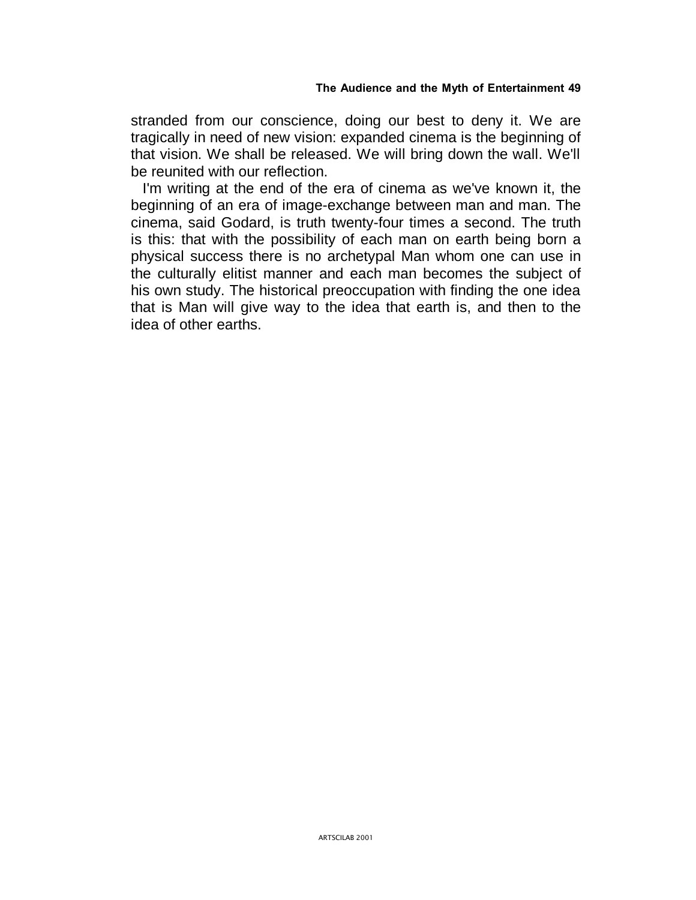stranded from our conscience, doing our best to deny it. We are tragically in need of new vision: expanded cinema is the beginning of that vision. We shall be released. We will bring down the wall. We'll be reunited with our reflection.

I'm writing at the end of the era of cinema as we've known it, the beginning of an era of image-exchange between man and man. The cinema, said Godard, is truth twenty-four times a second. The truth is this: that with the possibility of each man on earth being born a physical success there is no archetypal Man whom one can use in the culturally elitist manner and each man becomes the subject of his own study. The historical preoccupation with finding the one idea that is Man will give way to the idea that earth is, and then to the idea of other earths.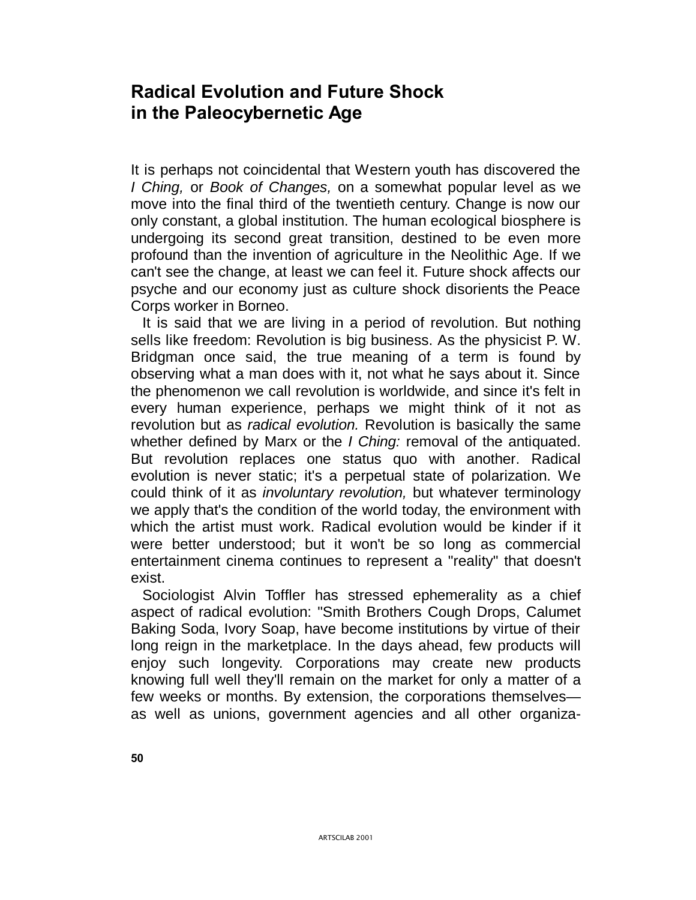### **Radical Evolution and Future Shock in the Paleocybernetic Age**

It is perhaps not coincidental that Western youth has discovered the *I Ching,* or *Book of Changes,* on a somewhat popular level as we move into the final third of the twentieth century. Change is now our only constant, a global institution. The human ecological biosphere is undergoing its second great transition, destined to be even more profound than the invention of agriculture in the Neolithic Age. If we can't see the change, at least we can feel it. Future shock affects our psyche and our economy just as culture shock disorients the Peace Corps worker in Borneo.

It is said that we are living in a period of revolution. But nothing sells like freedom: Revolution is big business. As the physicist P. W. Bridgman once said, the true meaning of a term is found by observing what a man does with it, not what he says about it. Since the phenomenon we call revolution is worldwide, and since it's felt in every human experience, perhaps we might think of it not as revolution but as *radical evolution.* Revolution is basically the same whether defined by Marx or the *I Ching:* removal of the antiquated. But revolution replaces one status quo with another. Radical evolution is never static; it's a perpetual state of polarization. We could think of it as *involuntary revolution,* but whatever terminology we apply that's the condition of the world today, the environment with which the artist must work. Radical evolution would be kinder if it were better understood; but it won't be so long as commercial entertainment cinema continues to represent a "reality" that doesn't exist.

Sociologist Alvin Toffler has stressed ephemerality as a chief aspect of radical evolution: "Smith Brothers Cough Drops, Calumet Baking Soda, Ivory Soap, have become institutions by virtue of their long reign in the marketplace. In the days ahead, few products will enjoy such longevity. Corporations may create new products knowing full well they'll remain on the market for only a matter of a few weeks or months. By extension, the corporations themselves as well as unions, government agencies and all other organiza-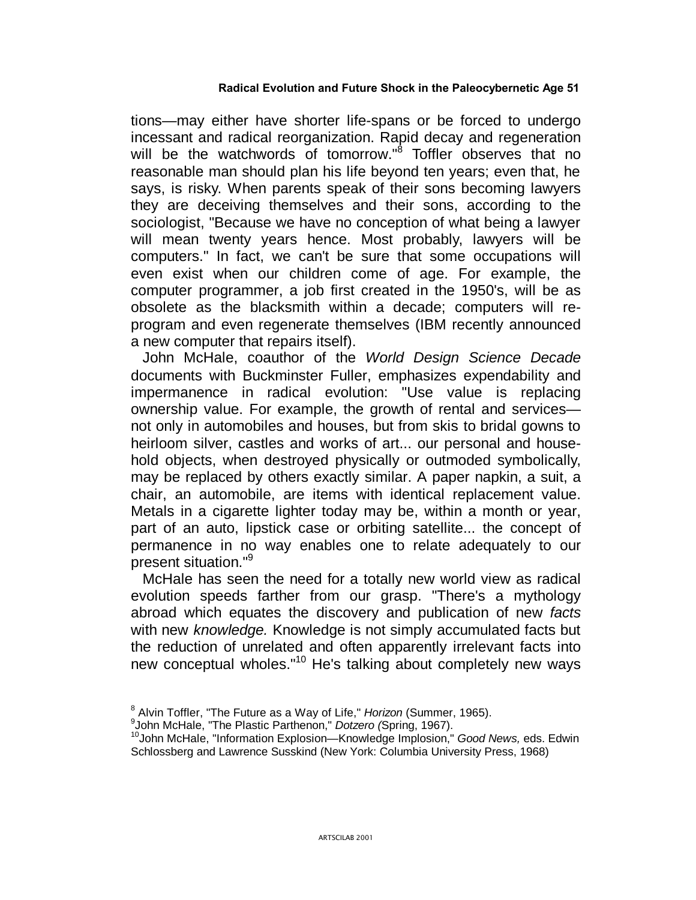### **Radical Evolution and Future Shock in the Paleocybernetic Age 51**

tions— may either have shorter life-spans or be forced to undergo incessant and radical reorganization. Rapid decay and regeneration will be the watchwords of tomorrow."<sup>8</sup> Toffler observes that no reasonable man should plan his life beyond ten years; even that, he says, is risky. When parents speak of their sons becoming lawyers they are deceiving themselves and their sons, according to the sociologist, "Because we have no conception of what being a lawyer will mean twenty years hence. Most probably, lawyers will be computers." In fact, we can't be sure that some occupations will even exist when our children come of age. For example, the computer programmer, a job first created in the 1950's, will be as obsolete as the blacksmith within a decade; computers will reprogram and even regenerate themselves (IBM recently announced a new computer that repairs itself).

John McHale, coauthor of the *World Design Science Decade* documents with Buckminster Fuller, emphasizes expendability and impermanence in radical evolution: "Use value is replacing ownership value. For example, the growth of rental and services not only in automobiles and houses, but from skis to bridal gowns to heirloom silver, castles and works of art... our personal and household objects, when destroyed physically or outmoded symbolically, may be replaced by others exactly similar. A paper napkin, a suit, a chair, an automobile, are items with identical replacement value. Metals in a cigarette lighter today may be, within a month or year, part of an auto, lipstick case or orbiting satellite... the concept of permanence in no way enables one to relate adequately to our present situation."<sup>9</sup>

McHale has seen the need for a totally new world view as radical evolution speeds farther from our grasp. "There's a mythology abroad which equates the discovery and publication of new *facts*  with new *knowledge.* Knowledge is not simply accumulated facts but the reduction of unrelated and often apparently irrelevant facts into new conceptual wholes."<sup>10</sup> He's talking about completely new ways

<sup>&</sup>lt;sup>8</sup> Alvin Toffler, "The Future as a Way of Life," *Horizon* (Summer, 1965).<br><sup>9</sup>John McHale, "The Plastic Parthenon," *Dotzero (*Spring, 1967).

<sup>10</sup>John McHale, "Information Explosion— Knowledge Implosion," *Good News,* eds. Edwin Schlossberg and Lawrence Susskind (New York: Columbia University Press, 1968)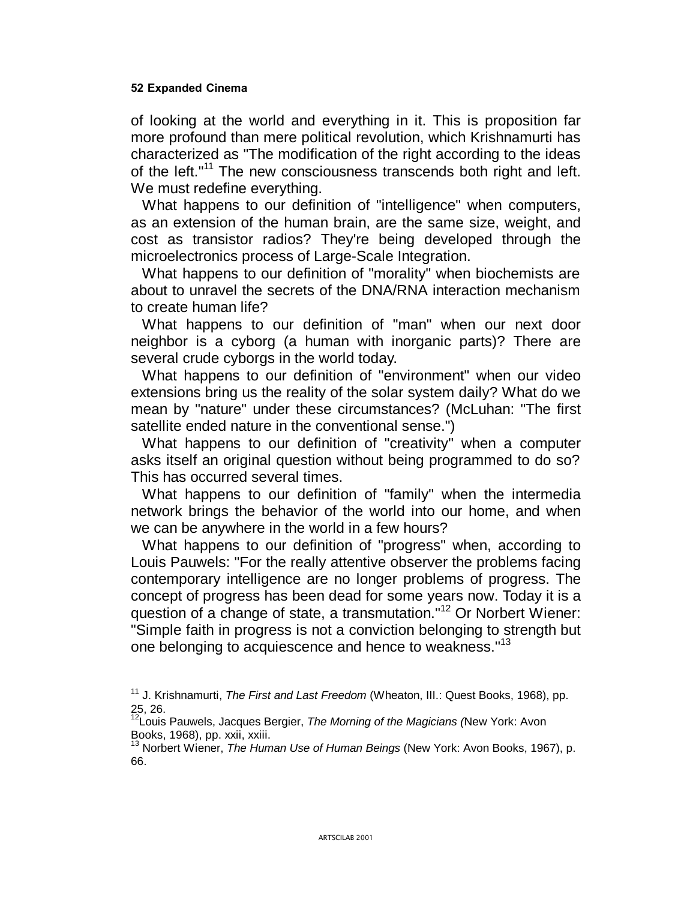of looking at the world and everything in it. This is proposition far more profound than mere political revolution, which Krishnamurti has characterized as "The modification of the right according to the ideas of the left."<sup>11</sup> The new consciousness transcends both right and left. We must redefine everything.

What happens to our definition of "intelligence" when computers, as an extension of the human brain, are the same size, weight, and cost as transistor radios? They're being developed through the microelectronics process of Large-Scale Integration.

What happens to our definition of "morality" when biochemists are about to unravel the secrets of the DNA/RNA interaction mechanism to create human life?

What happens to our definition of "man" when our next door neighbor is a cyborg (a human with inorganic parts)? There are several crude cyborgs in the world today.

What happens to our definition of "environment" when our video extensions bring us the reality of the solar system daily? What do we mean by "nature" under these circumstances? (McLuhan: "The first satellite ended nature in the conventional sense.")

What happens to our definition of "creativity" when a computer asks itself an original question without being programmed to do so? This has occurred several times.

What happens to our definition of "family" when the intermedia network brings the behavior of the world into our home, and when we can be anywhere in the world in a few hours?

What happens to our definition of "progress" when, according to Louis Pauwels: "For the really attentive observer the problems facing contemporary intelligence are no longer problems of progress. The concept of progress has been dead for some years now. Today it is a question of a change of state, a transmutation.''<sup>12</sup> Or Norbert Wiener: "Simple faith in progress is not a conviction belonging to strength but one belonging to acquiescence and hence to weakness."<sup>13</sup>

<sup>11</sup> J. Krishnamurti, *The First and Last Freedom* (Wheaton, III.: Quest Books, 1968), pp. 25, 26.

<sup>12</sup>Louis Pauwels, Jacques Bergier, *The Morning of the Magicians (*New York: Avon Books, 1968), pp. xxii, xxiii.

<sup>13</sup> Norbert Wiener, *The Human Use of Human Beings* (New York: Avon Books, 1967), p. 66.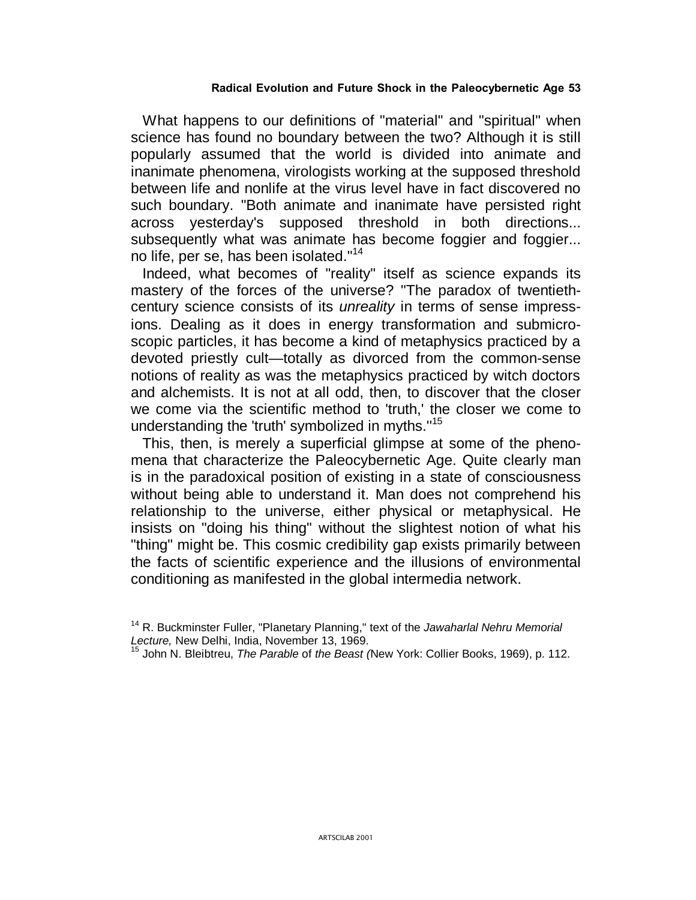### **Radical Evolution and Future Shock in the Paleocybernetic Age 53**

What happens to our definitions of "material" and "spiritual" when science has found no boundary between the two? Although it is still popularly assumed that the world is divided into animate and inanimate phenomena, virologists working at the supposed threshold between life and nonlife at the virus level have in fact discovered no such boundary. "Both animate and inanimate have persisted right across yesterday's supposed threshold in both directions... subsequently what was animate has become foggier and foggier... no life, per se, has been isolated."<sup>14</sup>

Indeed, what becomes of "reality" itself as science expands its mastery of the forces of the universe? "The paradox of twentiethcentury science consists of its *unreality* in terms of sense impressions. Dealing as it does in energy transformation and submicroscopic particles, it has become a kind of metaphysics practiced by a devoted priestly cult— totally as divorced from the common-sense notions of reality as was the metaphysics practiced by witch doctors and alchemists. It is not at all odd, then, to discover that the closer we come via the scientific method to 'truth,' the closer we come to understanding the 'truth' symbolized in myths."<sup>15</sup>

This, then, is merely a superficial glimpse at some of the phenomena that characterize the Paleocybernetic Age. Quite clearly man is in the paradoxical position of existing in a state of consciousness without being able to understand it. Man does not comprehend his relationship to the universe, either physical or metaphysical. He insists on "doing his thing" without the slightest notion of what his "thing" might be. This cosmic credibility gap exists primarily between the facts of scientific experience and the illusions of environmental conditioning as manifested in the global intermedia network.

<sup>14</sup> R. Buckminster Fuller, "Planetary Planning," text of the *Jawaharlal Nehru Memorial Lecture,* New Delhi, India, November 13, 1969.

<sup>15</sup> John N. Bleibtreu, *The Parable* of *the Beast (*New York: Collier Books, 1969), p. 112.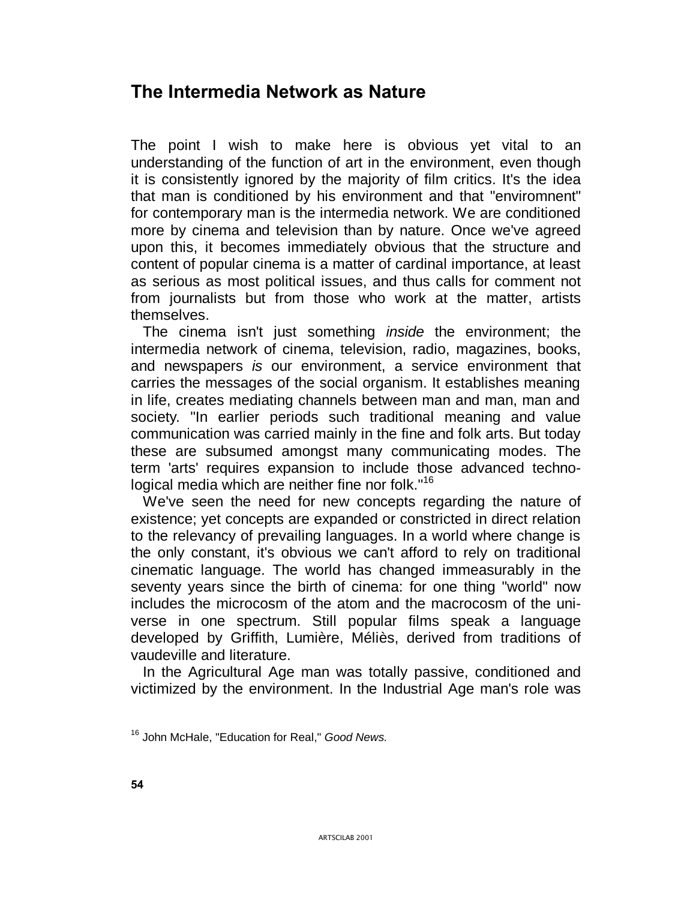### **The Intermedia Network as Nature**

The point I wish to make here is obvious yet vital to an understanding of the function of art in the environment, even though it is consistently ignored by the majority of film critics. It's the idea that man is conditioned by his environment and that "enviromnent" for contemporary man is the intermedia network. We are conditioned more by cinema and television than by nature. Once we've agreed upon this, it becomes immediately obvious that the structure and content of popular cinema is a matter of cardinal importance, at least as serious as most political issues, and thus calls for comment not from journalists but from those who work at the matter, artists themselves.

The cinema isn't just something *inside* the environment; the intermedia network of cinema, television, radio, magazines, books, and newspapers *is* our environment, a service environment that carries the messages of the social organism. It establishes meaning in life, creates mediating channels between man and man, man and society. "In earlier periods such traditional meaning and value communication was carried mainly in the fine and folk arts. But today these are subsumed amongst many communicating modes. The term 'arts' requires expansion to include those advanced technological media which are neither fine nor folk."<sup>16</sup>

We've seen the need for new concepts regarding the nature of existence; yet concepts are expanded or constricted in direct relation to the relevancy of prevailing languages. In a world where change is the only constant, it's obvious we can't afford to rely on traditional cinematic language. The world has changed immeasurably in the seventy years since the birth of cinema: for one thing "world" now includes the microcosm of the atom and the macrocosm of the universe in one spectrum. Still popular films speak a language developed by Griffith, Lumière, Méliès, derived from traditions of vaudeville and literature.

In the Agricultural Age man was totally passive, conditioned and victimized by the environment. In the Industrial Age man's role was

<sup>16</sup> John McHale, "Education for Real," *Good News.*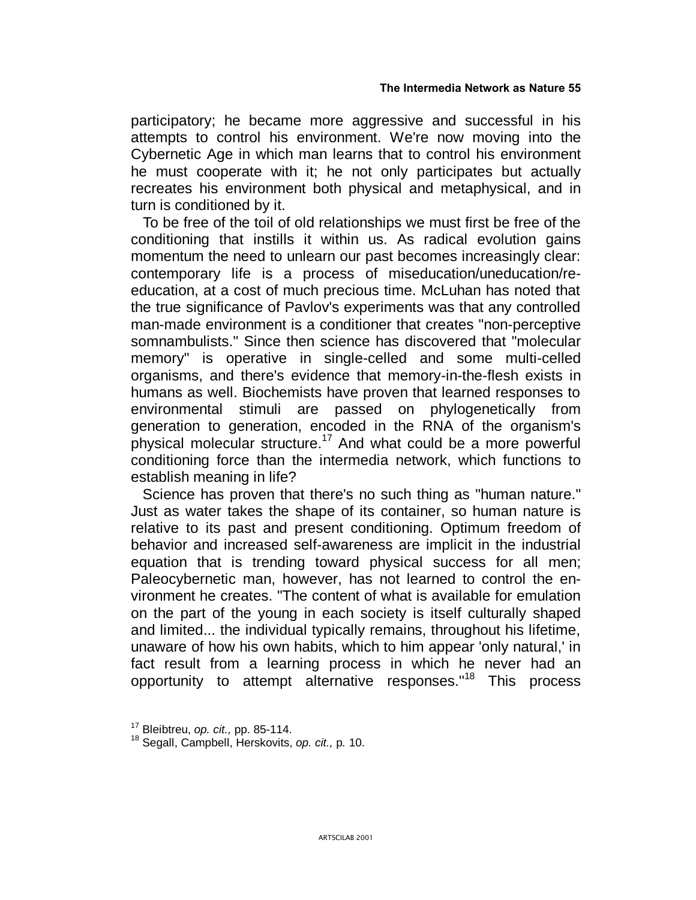participatory; he became more aggressive and successful in his attempts to control his environment. We're now moving into the Cybernetic Age in which man learns that to control his environment he must cooperate with it; he not only participates but actually recreates his environment both physical and metaphysical, and in turn is conditioned by it.

To be free of the toil of old relationships we must first be free of the conditioning that instills it within us. As radical evolution gains momentum the need to unlearn our past becomes increasingly clear: contemporary life is a process of miseducation/uneducation/reeducation, at a cost of much precious time. McLuhan has noted that the true significance of Pavlov's experiments was that any controlled man-made environment is a conditioner that creates "non-perceptive somnambulists." Since then science has discovered that "molecular memory" is operative in single-celled and some multi-celled organisms, and there's evidence that memory-in-the-flesh exists in humans as well. Biochemists have proven that learned responses to environmental stimuli are passed on phylogenetically from generation to generation, encoded in the RNA of the organism's physical molecular structure.<sup>17</sup> And what could be a more powerful conditioning force than the intermedia network, which functions to establish meaning in life?

Science has proven that there's no such thing as "human nature." Just as water takes the shape of its container, so human nature is relative to its past and present conditioning. Optimum freedom of behavior and increased self-awareness are implicit in the industrial equation that is trending toward physical success for all men; Paleocybernetic man, however, has not learned to control the environment he creates. "The content of what is available for emulation on the part of the young in each society is itself culturally shaped and limited... the individual typically remains, throughout his lifetime, unaware of how his own habits, which to him appear 'only natural,' in fact result from a learning process in which he never had an opportunity to attempt alternative responses.''<sup>18</sup> This process

<sup>17</sup> Bleibtreu, *op. cit.,* pp. 85-114.

<sup>18</sup> Segall, Campbell, Herskovits, *op. cit.,* p*.* 10.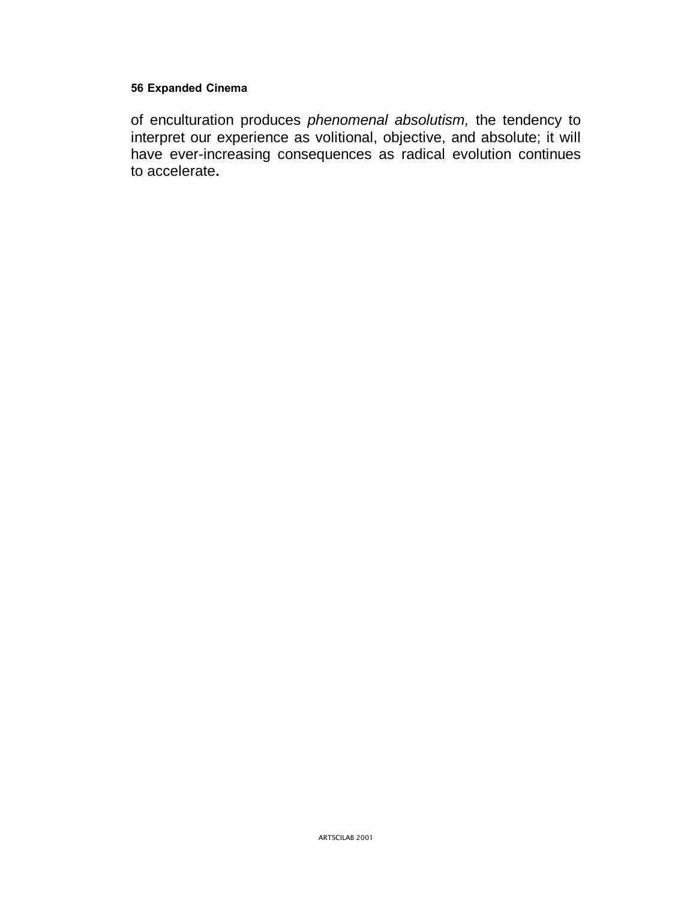of enculturation produces *phenomenal absolutism,* the tendency to interpret our experience as volitional, objective, and absolute; it will have ever-increasing consequences as radical evolution continues to accelerate**.**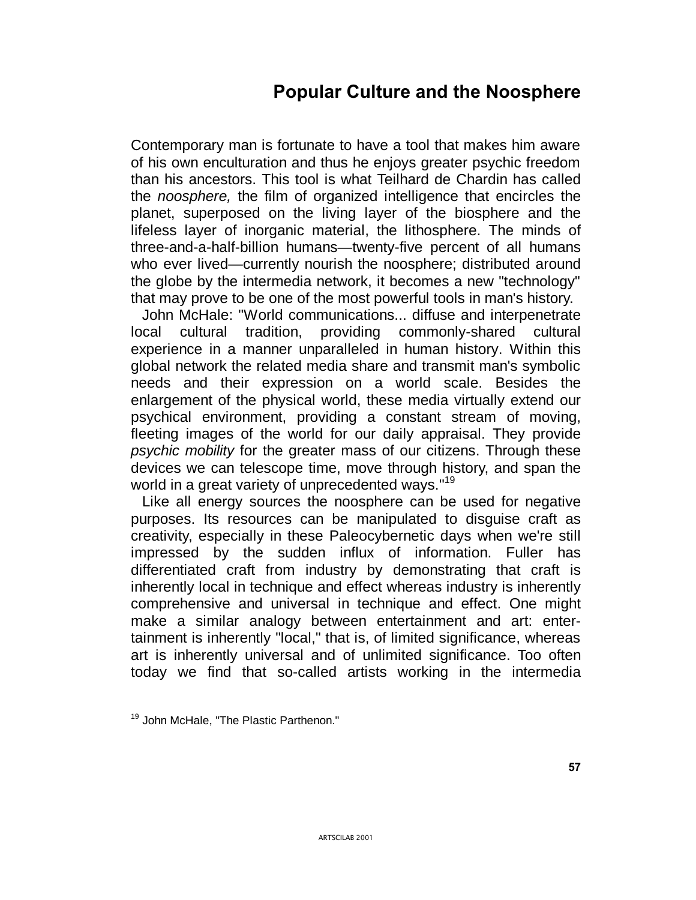# **Popular Culture and the Noosphere**

Contemporary man is fortunate to have a tool that makes him aware of his own enculturation and thus he enjoys greater psychic freedom than his ancestors. This tool is what Teilhard de Chardin has called the *noosphere,* the film of organized intelligence that encircles the planet, superposed on the living layer of the biosphere and the lifeless layer of inorganic material, the lithosphere. The minds of three-and-a-half-billion humans— twenty-five percent of all humans who ever lived—currently nourish the noosphere; distributed around the globe by the intermedia network, it becomes a new "technology" that may prove to be one of the most powerful tools in man's history.

John McHale: "World communications... diffuse and interpenetrate local cultural tradition, providing commonly-shared cultural experience in a manner unparalleled in human history. Within this global network the related media share and transmit man's symbolic needs and their expression on a world scale. Besides the enlargement of the physical world, these media virtually extend our psychical environment, providing a constant stream of moving, fleeting images of the world for our daily appraisal. They provide *psychic mobility* for the greater mass of our citizens. Through these devices we can telescope time, move through history, and span the world in a great variety of unprecedented ways."<sup>19</sup>

Like all energy sources the noosphere can be used for negative purposes. Its resources can be manipulated to disguise craft as creativity, especially in these Paleocybernetic days when we're still impressed by the sudden influx of information. Fuller has differentiated craft from industry by demonstrating that craft is inherently local in technique and effect whereas industry is inherently comprehensive and universal in technique and effect. One might make a similar analogy between entertainment and art: entertainment is inherently "local," that is, of limited significance, whereas art is inherently universal and of unlimited significance. Too often today we find that so-called artists working in the intermedia

<sup>&</sup>lt;sup>19</sup> John McHale, "The Plastic Parthenon."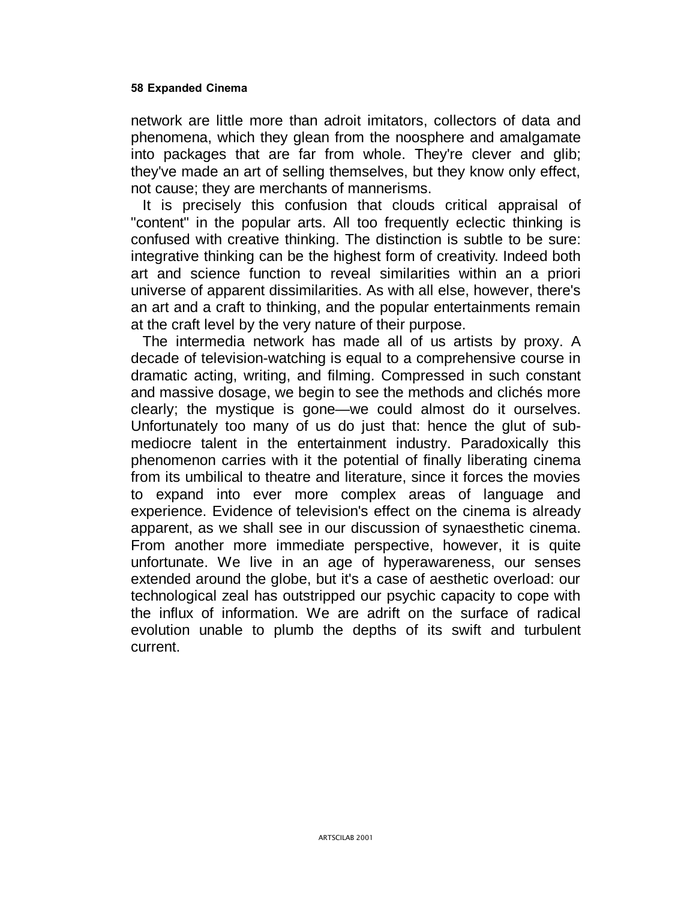network are little more than adroit imitators, collectors of data and phenomena, which they glean from the noosphere and amalgamate into packages that are far from whole. They're clever and glib; they've made an art of selling themselves, but they know only effect, not cause; they are merchants of mannerisms.

It is precisely this confusion that clouds critical appraisal of "content" in the popular arts. All too frequently eclectic thinking is confused with creative thinking. The distinction is subtle to be sure: integrative thinking can be the highest form of creativity. Indeed both art and science function to reveal similarities within an a priori universe of apparent dissimilarities. As with all else, however, there's an art and a craft to thinking, and the popular entertainments remain at the craft level by the very nature of their purpose.

The intermedia network has made all of us artists by proxy. A decade of television-watching is equal to a comprehensive course in dramatic acting, writing, and filming. Compressed in such constant and massive dosage, we begin to see the methods and clichés more clearly; the mystique is gone— we could almost do it ourselves. Unfortunately too many of us do just that: hence the glut of submediocre talent in the entertainment industry. Paradoxically this phenomenon carries with it the potential of finally liberating cinema from its umbilical to theatre and literature, since it forces the movies to expand into ever more complex areas of language and experience. Evidence of television's effect on the cinema is already apparent, as we shall see in our discussion of synaesthetic cinema. From another more immediate perspective, however, it is quite unfortunate. We live in an age of hyperawareness, our senses extended around the globe, but it's a case of aesthetic overload: our technological zeal has outstripped our psychic capacity to cope with the influx of information. We are adrift on the surface of radical evolution unable to plumb the depths of its swift and turbulent current.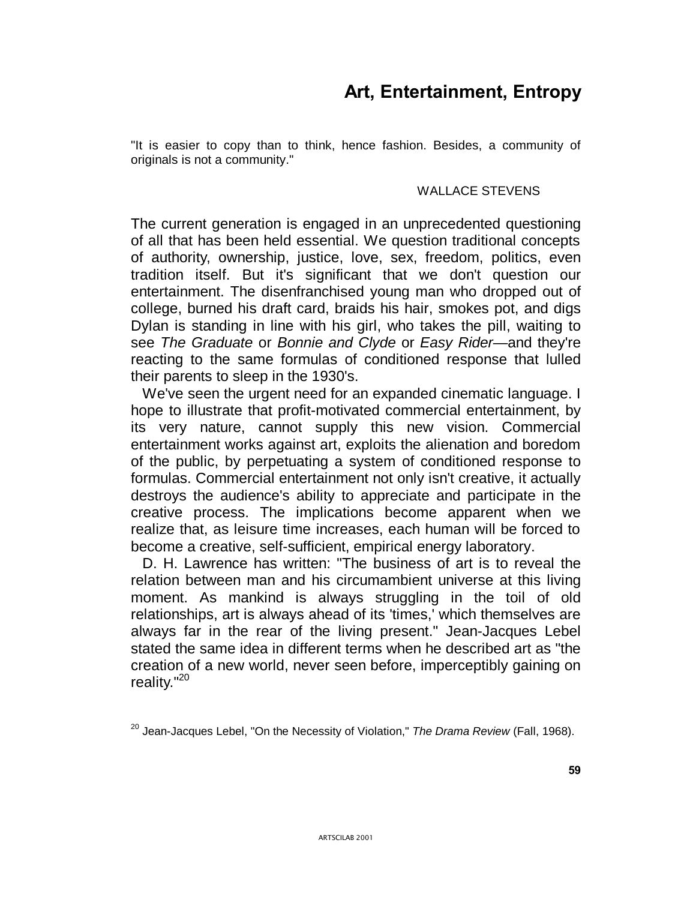## **Art, Entertainment, Entropy**

"It is easier to copy than to think, hence fashion. Besides, a community of originals is not a community."

### WALLACE STEVENS

The current generation is engaged in an unprecedented questioning of all that has been held essential. We question traditional concepts of authority, ownership, justice, love, sex, freedom, politics, even tradition itself. But it's significant that we don't question our entertainment. The disenfranchised young man who dropped out of college, burned his draft card, braids his hair, smokes pot, and digs Dylan is standing in line with his girl, who takes the pill, waiting to see *The Graduate* or *Bonnie and Clyde* or *Easy Rider—* and they're reacting to the same formulas of conditioned response that lulled their parents to sleep in the 1930's.

We've seen the urgent need for an expanded cinematic language. I hope to illustrate that profit-motivated commercial entertainment, by its very nature, cannot supply this new vision. Commercial entertainment works against art, exploits the alienation and boredom of the public, by perpetuating a system of conditioned response to formulas. Commercial entertainment not only isn't creative, it actually destroys the audience's ability to appreciate and participate in the creative process. The implications become apparent when we realize that, as leisure time increases, each human will be forced to become a creative, self-sufficient, empirical energy laboratory.

D. H. Lawrence has written: "The business of art is to reveal the relation between man and his circumambient universe at this living moment. As mankind is always struggling in the toil of old relationships, art is always ahead of its 'times,' which themselves are always far in the rear of the living present." Jean-Jacques Lebel stated the same idea in different terms when he described art as "the creation of a new world, never seen before, imperceptibly gaining on reality."20

<sup>20</sup> Jean-Jacques Lebel, "On the Necessity of Violation," *The Drama Review* (Fall, 1968).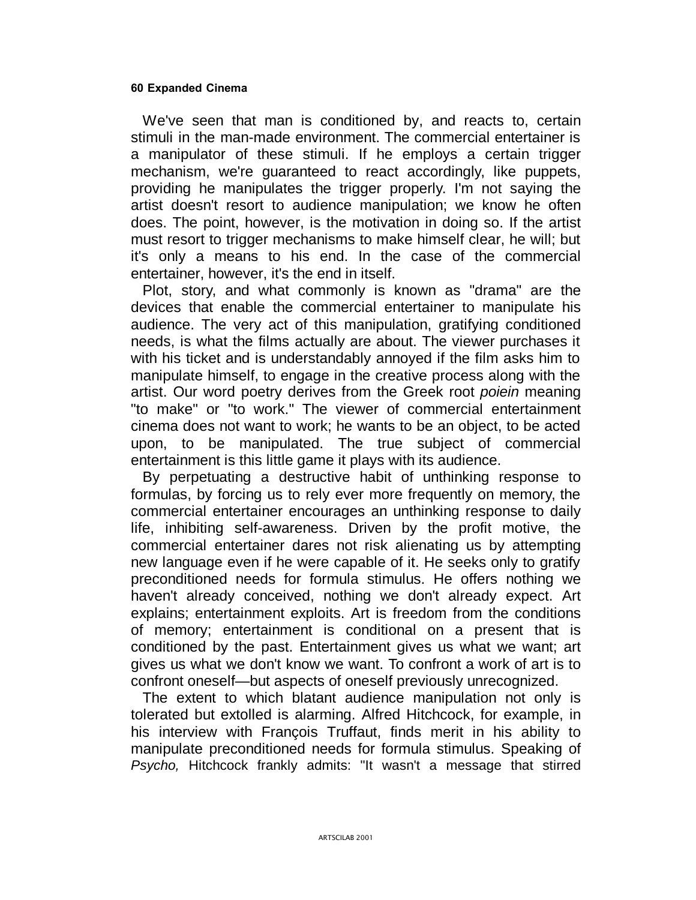We've seen that man is conditioned by, and reacts to, certain stimuli in the man-made environment. The commercial entertainer is a manipulator of these stimuli. If he employs a certain trigger mechanism, we're guaranteed to react accordingly, like puppets, providing he manipulates the trigger properly. I'm not saying the artist doesn't resort to audience manipulation; we know he often does. The point, however, is the motivation in doing so. If the artist must resort to trigger mechanisms to make himself clear, he will; but it's only a means to his end. In the case of the commercial entertainer, however, it's the end in itself.

Plot, story, and what commonly is known as "drama" are the devices that enable the commercial entertainer to manipulate his audience. The very act of this manipulation, gratifying conditioned needs, is what the films actually are about. The viewer purchases it with his ticket and is understandably annoyed if the film asks him to manipulate himself, to engage in the creative process along with the artist. Our word poetry derives from the Greek root *poiein* meaning "to make" or "to work." The viewer of commercial entertainment cinema does not want to work; he wants to be an object, to be acted upon, to be manipulated. The true subject of commercial entertainment is this little game it plays with its audience.

By perpetuating a destructive habit of unthinking response to formulas, by forcing us to rely ever more frequently on memory, the commercial entertainer encourages an unthinking response to daily life, inhibiting self-awareness. Driven by the profit motive, the commercial entertainer dares not risk alienating us by attempting new language even if he were capable of it. He seeks only to gratify preconditioned needs for formula stimulus. He offers nothing we haven't already conceived, nothing we don't already expect. Art explains; entertainment exploits. Art is freedom from the conditions of memory; entertainment is conditional on a present that is conditioned by the past. Entertainment gives us what we want; art gives us what we don't know we want. To confront a work of art is to confront oneself— but aspects of oneself previously unrecognized.

The extent to which blatant audience manipulation not only is tolerated but extolled is alarming. Alfred Hitchcock, for example, in his interview with François Truffaut, finds merit in his ability to manipulate preconditioned needs for formula stimulus. Speaking of *Psycho,* Hitchcock frankly admits: "It wasn't a message that stirred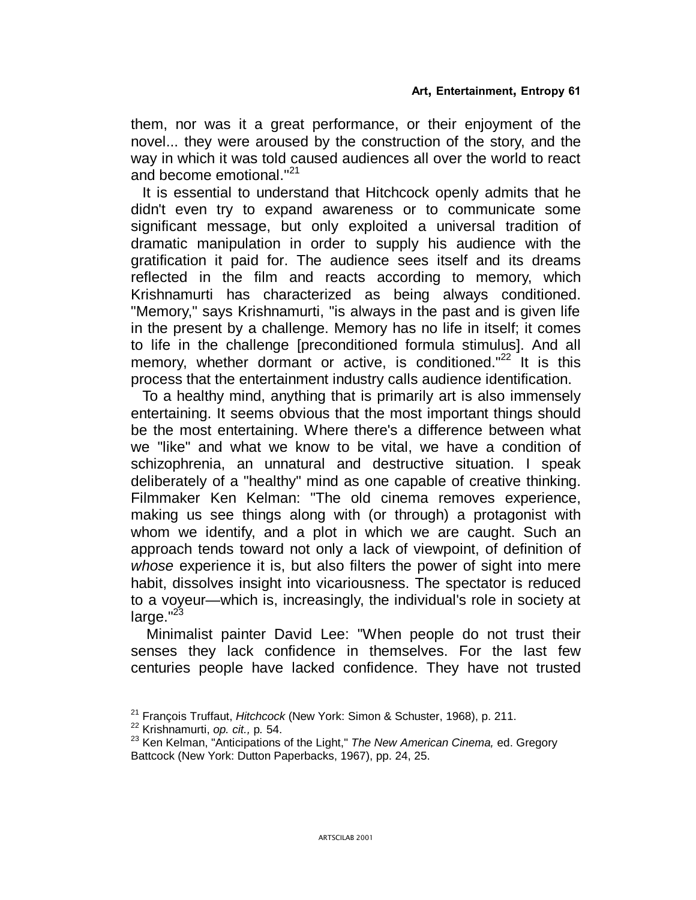them, nor was it a great performance, or their enjoyment of the novel... they were aroused by the construction of the story, and the way in which it was told caused audiences all over the world to react and become emotional."<sup>21</sup>

It is essential to understand that Hitchcock openly admits that he didn't even try to expand awareness or to communicate some significant message, but only exploited a universal tradition of dramatic manipulation in order to supply his audience with the gratification it paid for. The audience sees itself and its dreams reflected in the film and reacts according to memory, which Krishnamurti has characterized as being always conditioned. "Memory," says Krishnamurti, "is always in the past and is given life in the present by a challenge. Memory has no life in itself; it comes to life in the challenge [preconditioned formula stimulus]. And all memory, whether dormant or active, is conditioned."<sup>22</sup> It is this process that the entertainment industry calls audience identification.

To a healthy mind, anything that is primarily art is also immensely entertaining. It seems obvious that the most important things should be the most entertaining. Where there's a difference between what we "like" and what we know to be vital, we have a condition of schizophrenia, an unnatural and destructive situation. I speak deliberately of a "healthy" mind as one capable of creative thinking. Filmmaker Ken Kelman: "The old cinema removes experience, making us see things along with (or through) a protagonist with whom we identify, and a plot in which we are caught. Such an approach tends toward not only a lack of viewpoint, of definition of *whose* experience it is, but also filters the power of sight into mere habit, dissolves insight into vicariousness. The spectator is reduced to a voyeur— which is, increasingly, the individual's role in society at  $larea.<sup>n23</sup>$ 

 Minimalist painter David Lee: "When people do not trust their senses they lack confidence in themselves. For the last few centuries people have lacked confidence. They have not trusted

<sup>21</sup> François Truffaut, *Hitchcock* (New York: Simon & Schuster, 1968), p. 211.

<sup>22</sup> Krishnamurti, *op. cit.,* p*.* 54.

<sup>23</sup> Ken Kelman, "Anticipations of the Light," *The New American Cinema,* ed. Gregory Battcock (New York: Dutton Paperbacks, 1967), pp. 24, 25.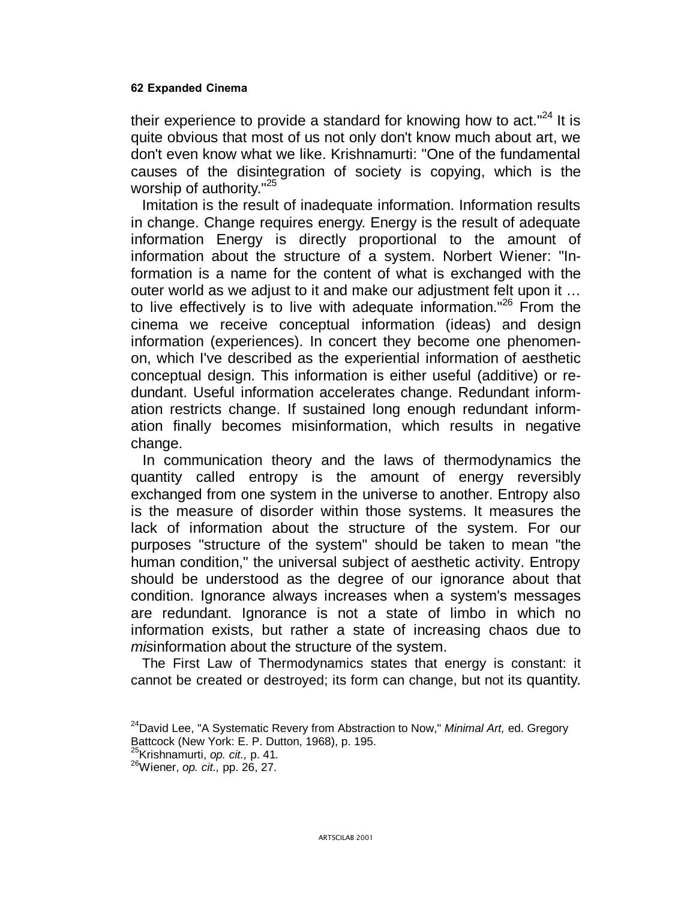their experience to provide a standard for knowing how to act. $"^{24}$  It is quite obvious that most of us not only don't know much about art, we don't even know what we like. Krishnamurti: "One of the fundamental causes of the disintegration of society is copying, which is the worship of authority."<sup>25</sup>

Imitation is the result of inadequate information. Information results in change. Change requires energy. Energy is the result of adequate information Energy is directly proportional to the amount of information about the structure of a system. Norbert Wiener: "Information is a name for the content of what is exchanged with the outer world as we adjust to it and make our adjustment felt upon it … to live effectively is to live with adequate information."<sup>26</sup> From the cinema we receive conceptual information (ideas) and design information (experiences). In concert they become one phenomenon, which I've described as the experiential information of aesthetic conceptual design. This information is either useful (additive) or redundant. Useful information accelerates change. Redundant information restricts change. If sustained long enough redundant information finally becomes misinformation, which results in negative change.

In communication theory and the laws of thermodynamics the quantity called entropy is the amount of energy reversibly exchanged from one system in the universe to another. Entropy also is the measure of disorder within those systems. It measures the lack of information about the structure of the system. For our purposes "structure of the system" should be taken to mean "the human condition," the universal subject of aesthetic activity. Entropy should be understood as the degree of our ignorance about that condition. Ignorance always increases when a system's messages are redundant. Ignorance is not a state of limbo in which no information exists, but rather a state of increasing chaos due to *mis*information about the structure of the system.

The First Law of Thermodynamics states that energy is constant: it cannot be created or destroyed; its form can change, but not its quantity.

<sup>24</sup>David Lee, "A Systematic Revery from Abstraction to Now," *Minimal Art,* ed. Gregory Battcock (New York: E. P. Dutton, 1968), p. 195.

<sup>25</sup>Krishnamurti, *op. cit.,* p. 41*.*

<sup>26</sup>Wiener, *op. cit.,* pp. 26, 27.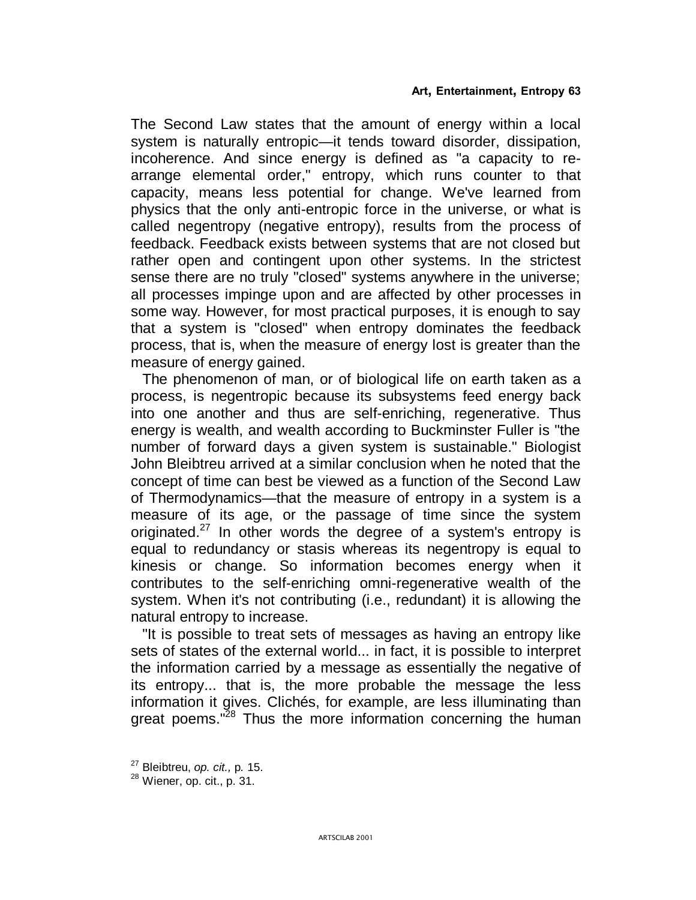The Second Law states that the amount of energy within a local system is naturally entropic— it tends toward disorder, dissipation, incoherence. And since energy is defined as "a capacity to rearrange elemental order," entropy, which runs counter to that capacity, means less potential for change. We've learned from physics that the only anti-entropic force in the universe, or what is called negentropy (negative entropy), results from the process of feedback. Feedback exists between systems that are not closed but rather open and contingent upon other systems. In the strictest sense there are no truly "closed" systems anywhere in the universe; all processes impinge upon and are affected by other processes in some way. However, for most practical purposes, it is enough to say that a system is "closed" when entropy dominates the feedback process, that is, when the measure of energy lost is greater than the measure of energy gained.

The phenomenon of man, or of biological life on earth taken as a process, is negentropic because its subsystems feed energy back into one another and thus are self-enriching, regenerative. Thus energy is wealth, and wealth according to Buckminster Fuller is "the number of forward days a given system is sustainable." Biologist John Bleibtreu arrived at a similar conclusion when he noted that the concept of time can best be viewed as a function of the Second Law of Thermodynamics— that the measure of entropy in a system is a measure of its age, or the passage of time since the system originated.<sup>27</sup> In other words the degree of a system's entropy is equal to redundancy or stasis whereas its negentropy is equal to kinesis or change. So information becomes energy when it contributes to the self-enriching omni-regenerative wealth of the system. When it's not contributing (i.e., redundant) it is allowing the natural entropy to increase.

"It is possible to treat sets of messages as having an entropy like sets of states of the external world... in fact, it is possible to interpret the information carried by a message as essentially the negative of its entropy... that is, the more probable the message the less information it gives. Clichés, for example, are less illuminating than great poems."<sup>28</sup> Thus the more information concerning the human

<sup>27</sup> Bleibtreu, *op. cit.,* p*.* 15.

<sup>28</sup> Wiener, op. cit., p. 31.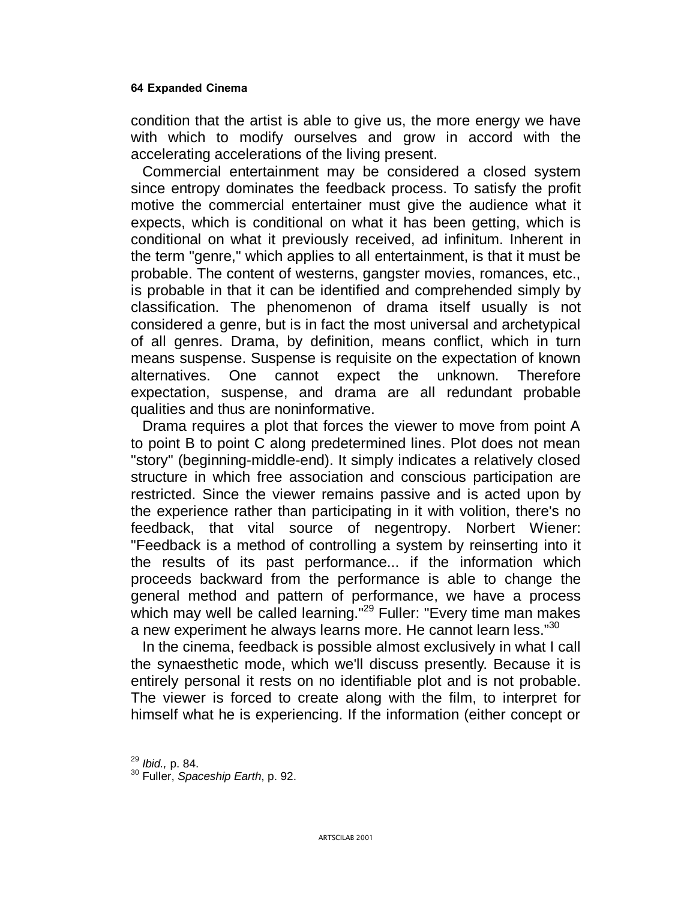condition that the artist is able to give us, the more energy we have with which to modify ourselves and grow in accord with the accelerating accelerations of the living present.

Commercial entertainment may be considered a closed system since entropy dominates the feedback process. To satisfy the profit motive the commercial entertainer must give the audience what it expects, which is conditional on what it has been getting, which is conditional on what it previously received, ad infinitum. Inherent in the term "genre," which applies to all entertainment, is that it must be probable. The content of westerns, gangster movies, romances, etc., is probable in that it can be identified and comprehended simply by classification. The phenomenon of drama itself usually is not considered a genre, but is in fact the most universal and archetypical of all genres. Drama, by definition, means conflict, which in turn means suspense. Suspense is requisite on the expectation of known alternatives. One cannot expect the unknown. Therefore expectation, suspense, and drama are all redundant probable qualities and thus are noninformative.

Drama requires a plot that forces the viewer to move from point A to point B to point C along predetermined lines. Plot does not mean "story" (beginning-middle-end). It simply indicates a relatively closed structure in which free association and conscious participation are restricted. Since the viewer remains passive and is acted upon by the experience rather than participating in it with volition, there's no feedback, that vital source of negentropy. Norbert Wiener: "Feedback is a method of controlling a system by reinserting into it the results of its past performance... if the information which proceeds backward from the performance is able to change the general method and pattern of performance, we have a process which may well be called learning."<sup>29</sup> Fuller: "Every time man makes a new experiment he always learns more. He cannot learn less."30

In the cinema, feedback is possible almost exclusively in what I call the synaesthetic mode, which we'll discuss presently. Because it is entirely personal it rests on no identifiable plot and is not probable. The viewer is forced to create along with the film, to interpret for himself what he is experiencing. If the information (either concept or

<sup>29</sup> *Ibid.,* p. 84.

<sup>30</sup> Fuller, *Spaceship Earth*, p. 92.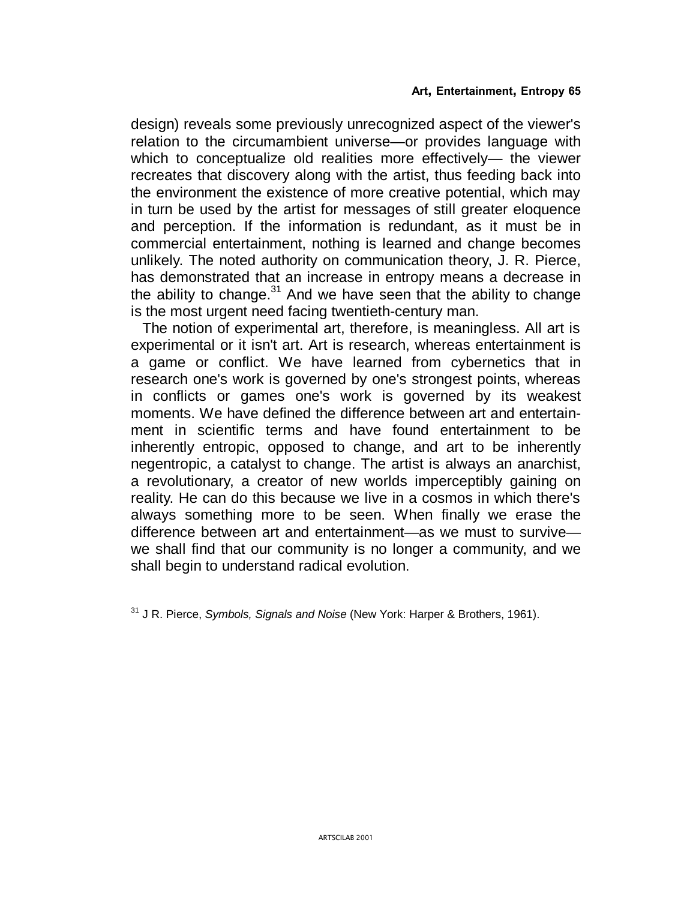design) reveals some previously unrecognized aspect of the viewer's relation to the circumambient universe— or provides language with which to conceptualize old realities more effectively— the viewer recreates that discovery along with the artist, thus feeding back into the environment the existence of more creative potential, which may in turn be used by the artist for messages of still greater eloquence and perception. If the information is redundant, as it must be in commercial entertainment, nothing is learned and change becomes unlikely. The noted authority on communication theory, J. R. Pierce, has demonstrated that an increase in entropy means a decrease in the ability to change. $31$  And we have seen that the ability to change is the most urgent need facing twentieth-century man.

The notion of experimental art, therefore, is meaningless. All art is experimental or it isn't art. Art is research, whereas entertainment is a game or conflict. We have learned from cybernetics that in research one's work is governed by one's strongest points, whereas in conflicts or games one's work is governed by its weakest moments. We have defined the difference between art and entertainment in scientific terms and have found entertainment to be inherently entropic, opposed to change, and art to be inherently negentropic, a catalyst to change. The artist is always an anarchist, a revolutionary, a creator of new worlds imperceptibly gaining on reality. He can do this because we live in a cosmos in which there's always something more to be seen. When finally we erase the difference between art and entertainment— as we must to survive we shall find that our community is no longer a community, and we shall begin to understand radical evolution.

<sup>31</sup> J R. Pierce, *Symbols, Signals and Noise* (New York: Harper & Brothers, 1961).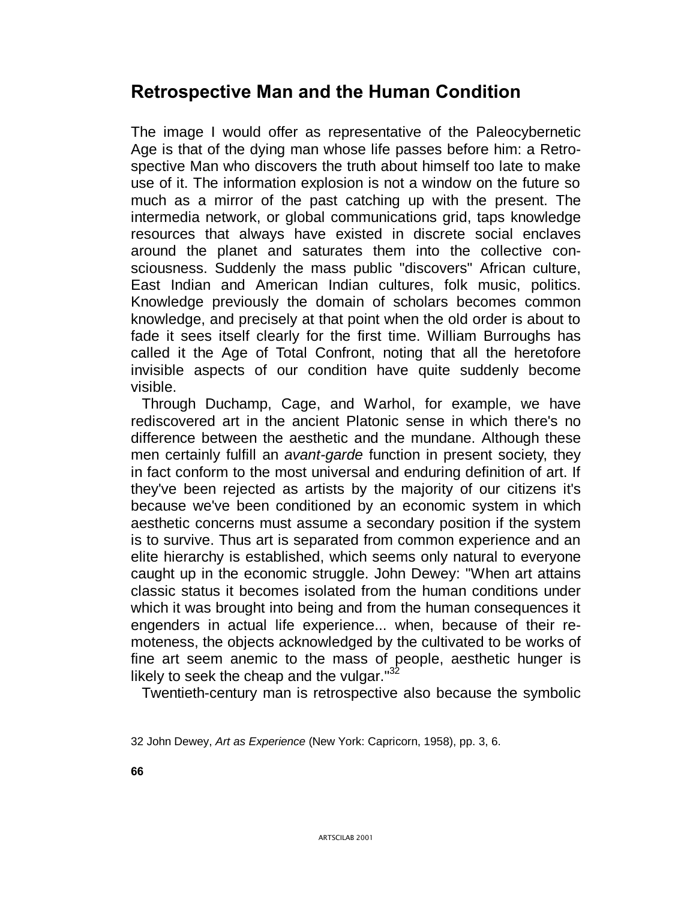# **Retrospective Man and the Human Condition**

The image I would offer as representative of the Paleocybernetic Age is that of the dying man whose life passes before him: a Retrospective Man who discovers the truth about himself too late to make use of it. The information explosion is not a window on the future so much as a mirror of the past catching up with the present. The intermedia network, or global communications grid, taps knowledge resources that always have existed in discrete social enclaves around the planet and saturates them into the collective consciousness. Suddenly the mass public "discovers" African culture, East Indian and American Indian cultures, folk music, politics. Knowledge previously the domain of scholars becomes common knowledge, and precisely at that point when the old order is about to fade it sees itself clearly for the first time. William Burroughs has called it the Age of Total Confront, noting that all the heretofore invisible aspects of our condition have quite suddenly become visible.

Through Duchamp, Cage, and Warhol, for example, we have rediscovered art in the ancient Platonic sense in which there's no difference between the aesthetic and the mundane. Although these men certainly fulfill an *avant-garde* function in present society, they in fact conform to the most universal and enduring definition of art. If they've been rejected as artists by the majority of our citizens it's because we've been conditioned by an economic system in which aesthetic concerns must assume a secondary position if the system is to survive. Thus art is separated from common experience and an elite hierarchy is established, which seems only natural to everyone caught up in the economic struggle. John Dewey: "When art attains classic status it becomes isolated from the human conditions under which it was brought into being and from the human consequences it engenders in actual life experience... when, because of their remoteness, the objects acknowledged by the cultivated to be works of fine art seem anemic to the mass of people, aesthetic hunger is likely to seek the cheap and the vulgar.  $132$ 

Twentieth-century man is retrospective also because the symbolic

<sup>32</sup> John Dewey, *Art as Experience* (New York: Capricorn, 1958), pp. 3, 6.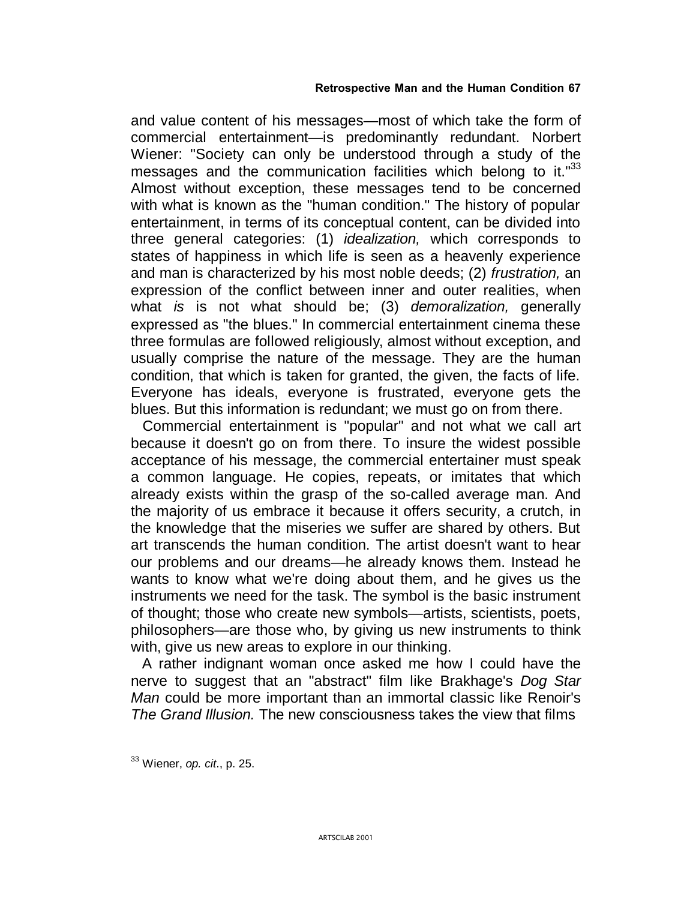and value content of his messages— most of which take the form of commercial entertainment— is predominantly redundant. Norbert Wiener: "Society can only be understood through a study of the messages and the communication facilities which belong to it."33 Almost without exception, these messages tend to be concerned with what is known as the "human condition." The history of popular entertainment, in terms of its conceptual content, can be divided into three general categories: (1) *idealization,* which corresponds to states of happiness in which life is seen as a heavenly experience and man is characterized by his most noble deeds; (2) *frustration,* an expression of the conflict between inner and outer realities, when what *is* is not what should be; (3) *demoralization,* generally expressed as "the blues." In commercial entertainment cinema these three formulas are followed religiously, almost without exception, and usually comprise the nature of the message. They are the human condition, that which is taken for granted, the given, the facts of life. Everyone has ideals, everyone is frustrated, everyone gets the blues. But this information is redundant; we must go on from there.

Commercial entertainment is "popular" and not what we call art because it doesn't go on from there. To insure the widest possible acceptance of his message, the commercial entertainer must speak a common language. He copies, repeats, or imitates that which already exists within the grasp of the so-called average man. And the majority of us embrace it because it offers security, a crutch, in the knowledge that the miseries we suffer are shared by others. But art transcends the human condition. The artist doesn't want to hear our problems and our dreams— he already knows them. Instead he wants to know what we're doing about them, and he gives us the instruments we need for the task. The symbol is the basic instrument of thought; those who create new symbols— artists, scientists, poets, philosophers— are those who, by giving us new instruments to think with, give us new areas to explore in our thinking.

A rather indignant woman once asked me how I could have the nerve to suggest that an "abstract" film like Brakhage's *Dog Star Man* could be more important than an immortal classic like Renoir's *The Grand Illusion.* The new consciousness takes the view that films

<sup>33</sup> Wiener, *op. cit*., p. 25.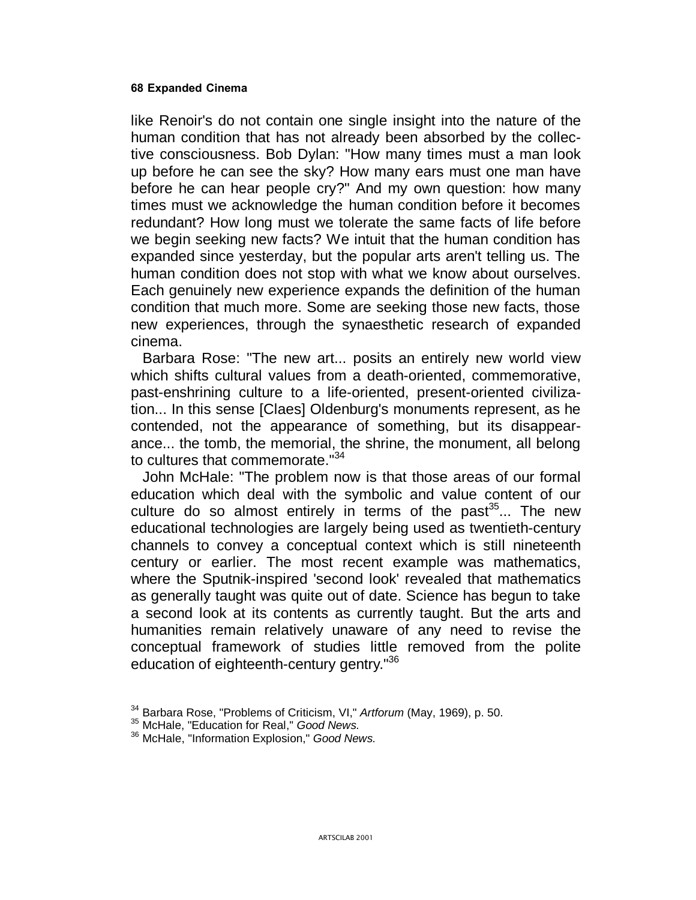like Renoir's do not contain one single insight into the nature of the human condition that has not already been absorbed by the collective consciousness. Bob Dylan: "How many times must a man look up before he can see the sky? How many ears must one man have before he can hear people cry?" And my own question: how many times must we acknowledge the human condition before it becomes redundant? How long must we tolerate the same facts of life before we begin seeking new facts? We intuit that the human condition has expanded since yesterday, but the popular arts aren't telling us. The human condition does not stop with what we know about ourselves. Each genuinely new experience expands the definition of the human condition that much more. Some are seeking those new facts, those new experiences, through the synaesthetic research of expanded cinema.

Barbara Rose: "The new art... posits an entirely new world view which shifts cultural values from a death-oriented, commemorative, past-enshrining culture to a life-oriented, present-oriented civilization... In this sense [Claes] Oldenburg's monuments represent, as he contended, not the appearance of something, but its disappearance... the tomb, the memorial, the shrine, the monument, all belong to cultures that commemorate."<sup>34</sup>

John McHale: "The problem now is that those areas of our formal education which deal with the symbolic and value content of our culture do so almost entirely in terms of the past<sup>35</sup>... The new educational technologies are largely being used as twentieth-century channels to convey a conceptual context which is still nineteenth century or earlier. The most recent example was mathematics, where the Sputnik-inspired 'second look' revealed that mathematics as generally taught was quite out of date. Science has begun to take a second look at its contents as currently taught. But the arts and humanities remain relatively unaware of any need to revise the conceptual framework of studies little removed from the polite education of eighteenth-century gentry."<sup>36</sup>

<sup>34</sup> Barbara Rose, "Problems of Criticism, VI," *Artforum* (May, 1969), p. 50.

<sup>35</sup> McHale, "Education for Real," *Good News.*

<sup>36</sup> McHale, "Information Explosion," *Good News.*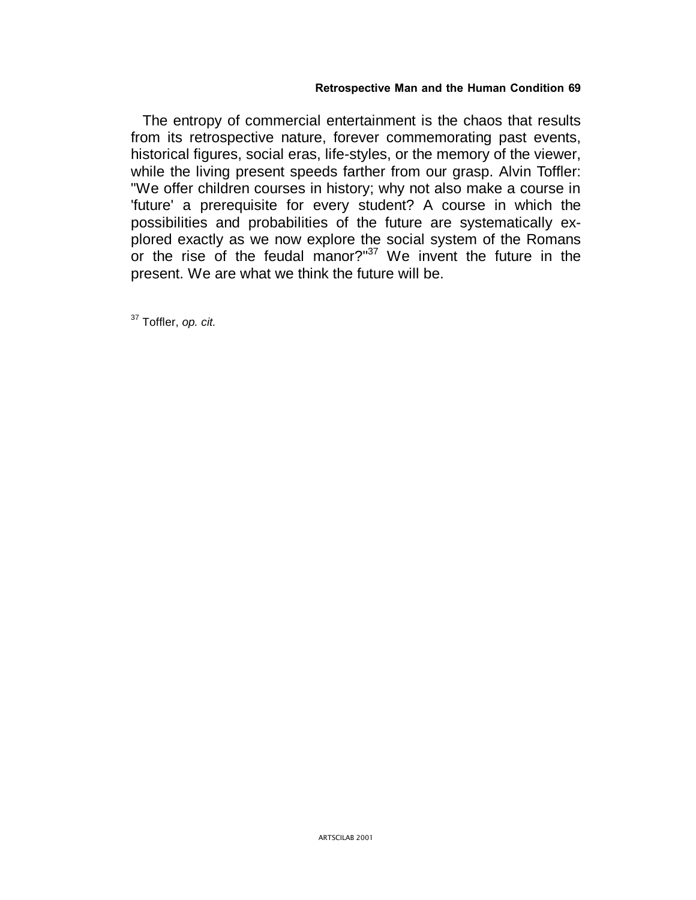#### **Retrospective Man and the Human Condition 69**

The entropy of commercial entertainment is the chaos that results from its retrospective nature, forever commemorating past events, historical figures, social eras, life-styles, or the memory of the viewer, while the living present speeds farther from our grasp. Alvin Toffler: "We offer children courses in history; why not also make a course in 'future' a prerequisite for every student? A course in which the possibilities and probabilities of the future are systematically explored exactly as we now explore the social system of the Romans or the rise of the feudal manor?"<sup>37</sup> We invent the future in the present. We are what we think the future will be.

<sup>37</sup> Toffler, *op. cit.*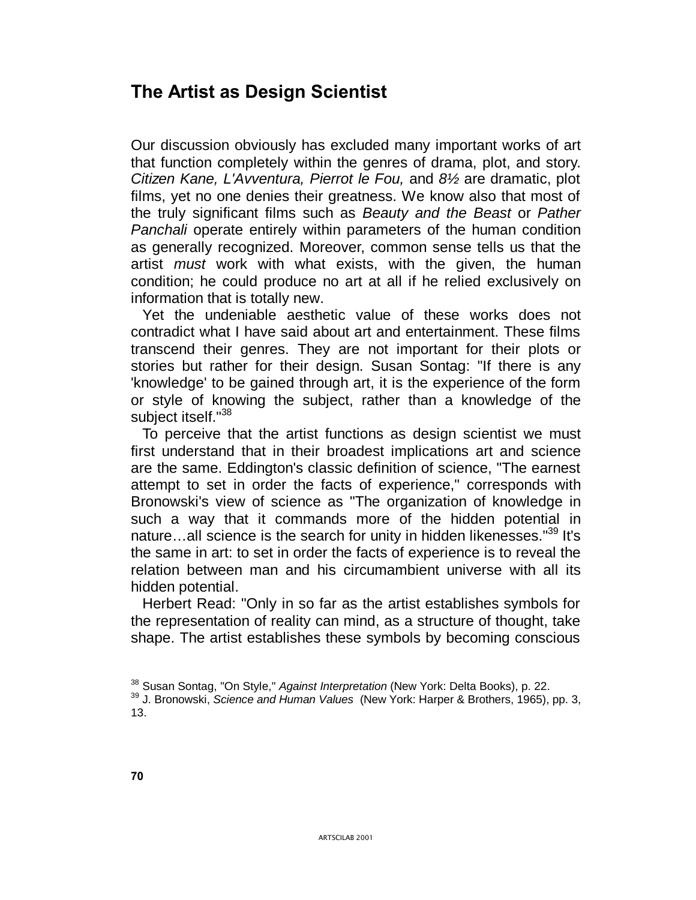### **The Artist as Design Scientist**

Our discussion obviously has excluded many important works of art that function completely within the genres of drama, plot, and story. *Citizen Kane, L'Avventura, Pierrot le Fou,* and *8½* are dramatic, plot films, yet no one denies their greatness. We know also that most of the truly significant films such as *Beauty and the Beast* or *Pather Panchali* operate entirely within parameters of the human condition as generally recognized. Moreover, common sense tells us that the artist *must* work with what exists, with the given, the human condition; he could produce no art at all if he relied exclusively on information that is totally new.

Yet the undeniable aesthetic value of these works does not contradict what I have said about art and entertainment. These films transcend their genres. They are not important for their plots or stories but rather for their design. Susan Sontag: "If there is any 'knowledge' to be gained through art, it is the experience of the form or style of knowing the subject, rather than a knowledge of the subject itself."<sup>38</sup>

To perceive that the artist functions as design scientist we must first understand that in their broadest implications art and science are the same. Eddington's classic definition of science, "The earnest attempt to set in order the facts of experience," corresponds with Bronowski's view of science as "The organization of knowledge in such a way that it commands more of the hidden potential in nature… all science is the search for unity in hidden likenesses."<sup>39</sup> It's the same in art: to set in order the facts of experience is to reveal the relation between man and his circumambient universe with all its hidden potential.

Herbert Read: "Only in so far as the artist establishes symbols for the representation of reality can mind, as a structure of thought, take shape. The artist establishes these symbols by becoming conscious

<sup>38</sup> Susan Sontag, "On Style," *Against Interpretation* (New York: Delta Books), p. 22.

<sup>39</sup> J. Bronowski, *Science and Human Values* (New York: Harper & Brothers, 1965), pp. 3, 13.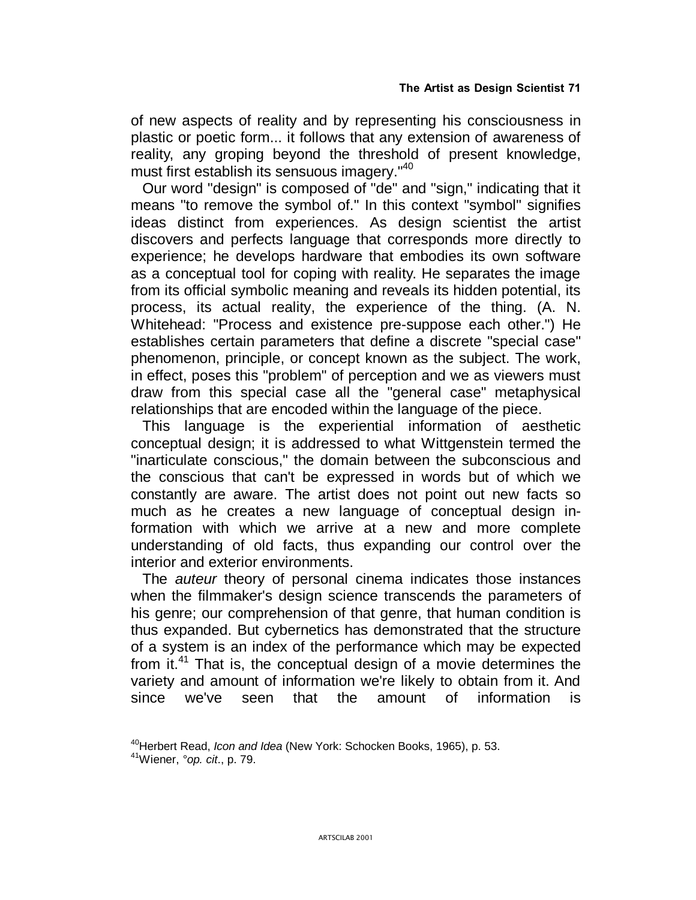of new aspects of reality and by representing his consciousness in plastic or poetic form... it follows that any extension of awareness of reality, any groping beyond the threshold of present knowledge, must first establish its sensuous imagery."<sup>40</sup>

Our word "design" is composed of "de" and "sign," indicating that it means "to remove the symbol of." In this context "symbol" signifies ideas distinct from experiences. As design scientist the artist discovers and perfects language that corresponds more directly to experience; he develops hardware that embodies its own software as a conceptual tool for coping with reality. He separates the image from its official symbolic meaning and reveals its hidden potential, its process, its actual reality, the experience of the thing. (A. N. Whitehead: "Process and existence pre-suppose each other.") He establishes certain parameters that define a discrete "special case" phenomenon, principle, or concept known as the subject. The work, in effect, poses this "problem" of perception and we as viewers must draw from this special case all the "general case" metaphysical relationships that are encoded within the language of the piece.

This language is the experiential information of aesthetic conceptual design; it is addressed to what Wittgenstein termed the "inarticulate conscious," the domain between the subconscious and the conscious that can't be expressed in words but of which we constantly are aware. The artist does not point out new facts so much as he creates a new language of conceptual design information with which we arrive at a new and more complete understanding of old facts, thus expanding our control over the interior and exterior environments.

The *auteur* theory of personal cinema indicates those instances when the filmmaker's design science transcends the parameters of his genre; our comprehension of that genre, that human condition is thus expanded. But cybernetics has demonstrated that the structure of a system is an index of the performance which may be expected from it.<sup>41</sup> That is, the conceptual design of a movie determines the variety and amount of information we're likely to obtain from it. And since we've seen that the amount of information is

<sup>40</sup>Herbert Read, *Icon and Idea* (New York: Schocken Books, 1965), p. 53. <sup>41</sup>Wiener, *°op. cit*., p. 79.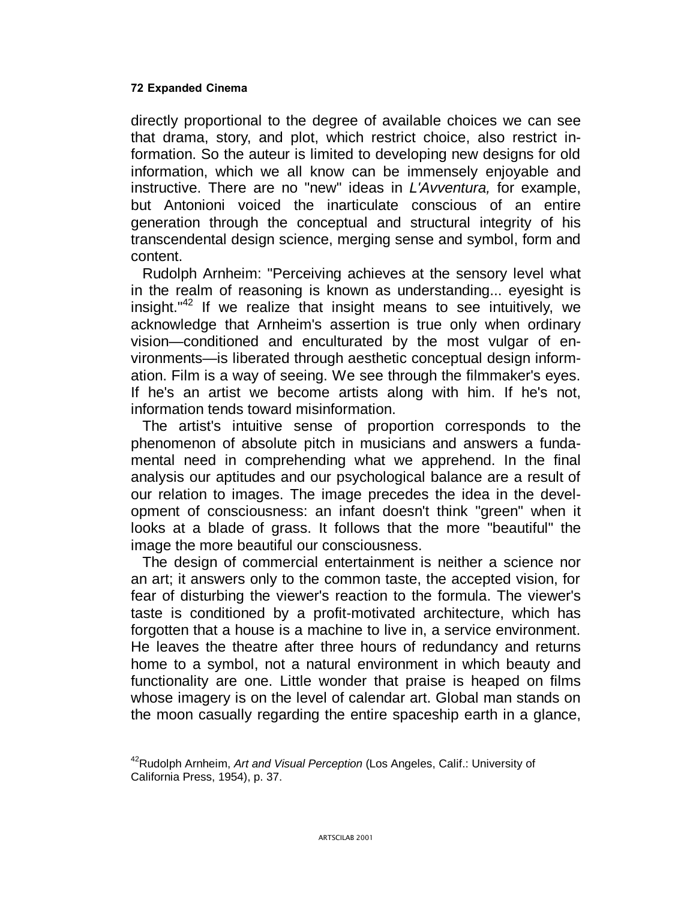directly proportional to the degree of available choices we can see that drama, story, and plot, which restrict choice, also restrict information. So the auteur is limited to developing new designs for old information, which we all know can be immensely enjoyable and instructive. There are no "new" ideas in *L'Avventura,* for example, but Antonioni voiced the inarticulate conscious of an entire generation through the conceptual and structural integrity of his transcendental design science, merging sense and symbol, form and content.

Rudolph Arnheim: "Perceiving achieves at the sensory level what in the realm of reasoning is known as understanding... eyesight is insight."<sup>42</sup> If we realize that insight means to see intuitively, we acknowledge that Arnheim's assertion is true only when ordinary vision— conditioned and enculturated by the most vulgar of environments— is liberated through aesthetic conceptual design information. Film is a way of seeing. We see through the filmmaker's eyes. If he's an artist we become artists along with him. If he's not, information tends toward misinformation.

The artist's intuitive sense of proportion corresponds to the phenomenon of absolute pitch in musicians and answers a fundamental need in comprehending what we apprehend. In the final analysis our aptitudes and our psychological balance are a result of our relation to images. The image precedes the idea in the development of consciousness: an infant doesn't think "green" when it looks at a blade of grass. It follows that the more "beautiful" the image the more beautiful our consciousness.

The design of commercial entertainment is neither a science nor an art; it answers only to the common taste, the accepted vision, for fear of disturbing the viewer's reaction to the formula. The viewer's taste is conditioned by a profit-motivated architecture, which has forgotten that a house is a machine to live in, a service environment. He leaves the theatre after three hours of redundancy and returns home to a symbol, not a natural environment in which beauty and functionality are one. Little wonder that praise is heaped on films whose imagery is on the level of calendar art. Global man stands on the moon casually regarding the entire spaceship earth in a glance,

<sup>42</sup>Rudolph Arnheim, *Art and Visual Perception* (Los Angeles, Calif.: University of California Press, 1954), p. 37.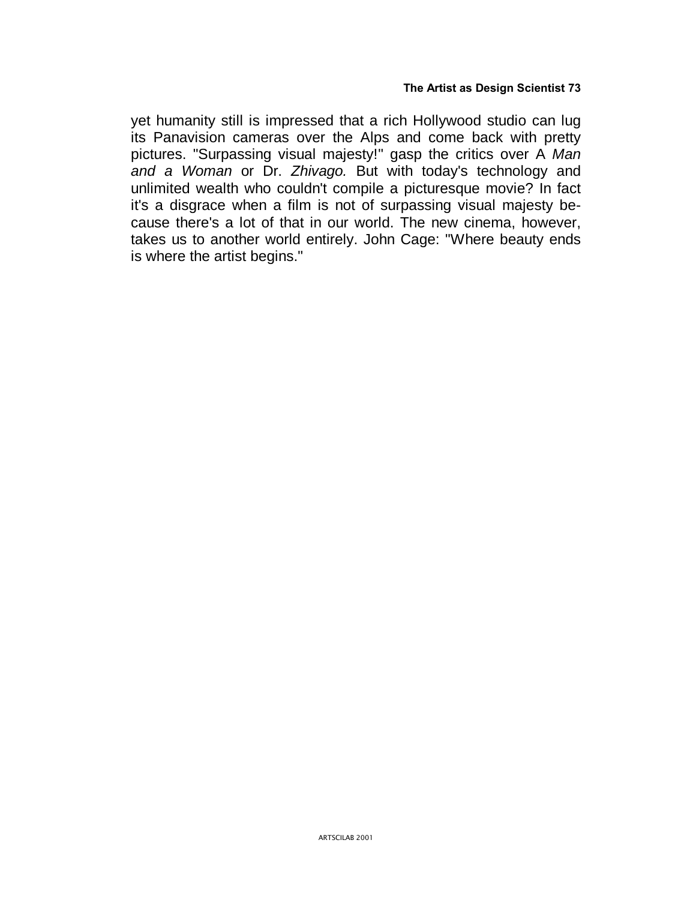yet humanity still is impressed that a rich Hollywood studio can lug its Panavision cameras over the Alps and come back with pretty pictures. "Surpassing visual majesty!" gasp the critics over A *Man and a Woman* or Dr. *Zhivago.* But with today's technology and unlimited wealth who couldn't compile a picturesque movie? In fact it's a disgrace when a film is not of surpassing visual majesty because there's a lot of that in our world. The new cinema, however, takes us to another world entirely. John Cage: "Where beauty ends is where the artist begins."